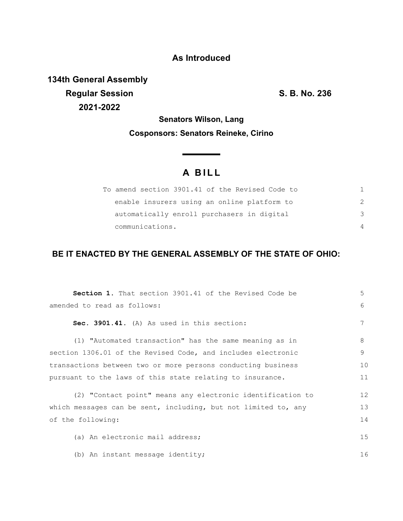### **As Introduced**

**134th General Assembly Regular Session S. B. No. 236 2021-2022**

**Senators Wilson, Lang Cosponsors: Senators Reineke, Cirino**

<u> The Common State</u>

# **A B I L L**

| To amend section 3901.41 of the Revised Code to |          |
|-------------------------------------------------|----------|
| enable insurers using an online platform to     |          |
| automatically enroll purchasers in digital      | 3        |
| communications.                                 | $\Delta$ |

## **BE IT ENACTED BY THE GENERAL ASSEMBLY OF THE STATE OF OHIO:**

| <b>Section 1.</b> That section 3901.41 of the Revised Code be  | 5  |
|----------------------------------------------------------------|----|
| amended to read as follows:                                    | 6  |
| Sec. 3901.41. (A) As used in this section:                     | 7  |
| (1) "Automated transaction" has the same meaning as in         | 8  |
| section 1306.01 of the Revised Code, and includes electronic   | 9  |
| transactions between two or more persons conducting business   | 10 |
| pursuant to the laws of this state relating to insurance.      | 11 |
| (2) "Contact point" means any electronic identification to     | 12 |
| which messages can be sent, including, but not limited to, any | 13 |
| of the following:                                              | 14 |
| (a) An electronic mail address;                                | 15 |
| (b) An instant message identity;                               | 16 |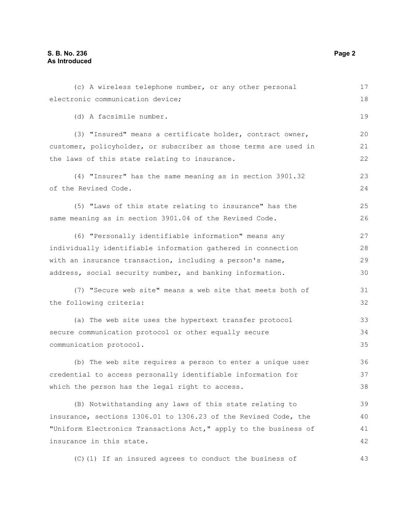#### **S. B. No. 236 Page 2 As Introduced**

| (c) A wireless telephone number, or any other personal           | 17 |
|------------------------------------------------------------------|----|
| electronic communication device;                                 | 18 |
| (d) A facsimile number.                                          | 19 |
| (3) "Insured" means a certificate holder, contract owner,        | 20 |
| customer, policyholder, or subscriber as those terms are used in | 21 |
| the laws of this state relating to insurance.                    | 22 |
| (4) "Insurer" has the same meaning as in section 3901.32         | 23 |
| of the Revised Code.                                             | 24 |
| (5) "Laws of this state relating to insurance" has the           | 25 |
| same meaning as in section 3901.04 of the Revised Code.          | 26 |
| (6) "Personally identifiable information" means any              | 27 |
| individually identifiable information gathered in connection     | 28 |
| with an insurance transaction, including a person's name,        | 29 |
| address, social security number, and banking information.        | 30 |
| (7) "Secure web site" means a web site that meets both of        | 31 |
| the following criteria:                                          | 32 |
| (a) The web site uses the hypertext transfer protocol            | 33 |
| secure communication protocol or other equally secure            | 34 |
| communication protocol.                                          | 35 |
| (b) The web site requires a person to enter a unique user        | 36 |
| credential to access personally identifiable information for     | 37 |
| which the person has the legal right to access.                  | 38 |
| (B) Notwithstanding any laws of this state relating to           | 39 |
| insurance, sections 1306.01 to 1306.23 of the Revised Code, the  | 40 |
| "Uniform Electronics Transactions Act," apply to the business of | 41 |
| insurance in this state.                                         | 42 |
| (C) (1) If an insured agrees to conduct the business of          | 43 |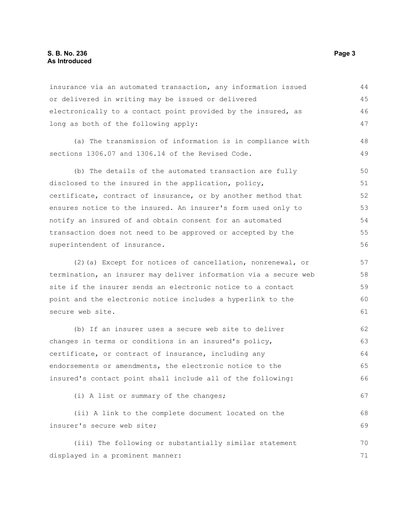#### **S. B. No. 236** Page 3 **As Introduced**

|                                                                  | 44 |
|------------------------------------------------------------------|----|
| insurance via an automated transaction, any information issued   |    |
| or delivered in writing may be issued or delivered               | 45 |
| electronically to a contact point provided by the insured, as    | 46 |
| long as both of the following apply:                             | 47 |
| (a) The transmission of information is in compliance with        | 48 |
| sections 1306.07 and 1306.14 of the Revised Code.                | 49 |
| (b) The details of the automated transaction are fully           | 50 |
| disclosed to the insured in the application, policy,             | 51 |
| certificate, contract of insurance, or by another method that    | 52 |
| ensures notice to the insured. An insurer's form used only to    | 53 |
| notify an insured of and obtain consent for an automated         | 54 |
| transaction does not need to be approved or accepted by the      | 55 |
| superintendent of insurance.                                     | 56 |
| (2) (a) Except for notices of cancellation, nonrenewal, or       | 57 |
| termination, an insurer may deliver information via a secure web | 58 |
| site if the insurer sends an electronic notice to a contact      | 59 |
| point and the electronic notice includes a hyperlink to the      | 60 |
| secure web site.                                                 | 61 |
| (b) If an insurer uses a secure web site to deliver              | 62 |
| changes in terms or conditions in an insured's policy,           | 63 |
| certificate, or contract of insurance, including any             | 64 |
| endorsements or amendments, the electronic notice to the         | 65 |
| insured's contact point shall include all of the following:      | 66 |
| (i) A list or summary of the changes;                            | 67 |
| (ii) A link to the complete document located on the              | 68 |
| insurer's secure web site;                                       | 69 |
| (iii) The following or substantially similar statement           | 70 |
| displayed in a prominent manner:                                 | 71 |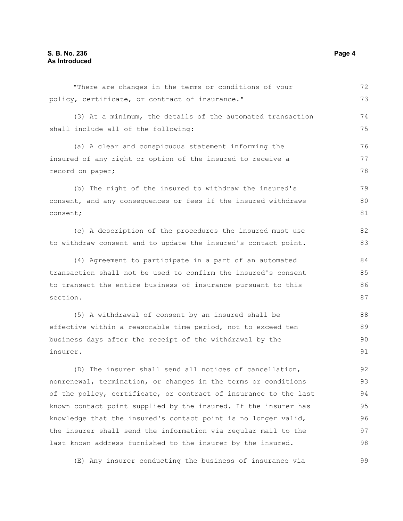"There are changes in the terms or conditions of your policy, certificate, or contract of insurance." (3) At a minimum, the details of the automated transaction shall include all of the following: (a) A clear and conspicuous statement informing the insured of any right or option of the insured to receive a record on paper; (b) The right of the insured to withdraw the insured's consent, and any consequences or fees if the insured withdraws consent; (c) A description of the procedures the insured must use to withdraw consent and to update the insured's contact point. (4) Agreement to participate in a part of an automated transaction shall not be used to confirm the insured's consent to transact the entire business of insurance pursuant to this section. (5) A withdrawal of consent by an insured shall be effective within a reasonable time period, not to exceed ten business days after the receipt of the withdrawal by the insurer. (D) The insurer shall send all notices of cancellation, nonrenewal, termination, or changes in the terms or conditions of the policy, certificate, or contract of insurance to the last known contact point supplied by the insured. If the insurer has 72 73 74 75 76 77 78 79 80 81 82 83 84 85 86 87 88 89  $90$ 91 92 93 94 95

knowledge that the insured's contact point is no longer valid, the insurer shall send the information via regular mail to the last known address furnished to the insurer by the insured. 96 97 98

(E) Any insurer conducting the business of insurance via

99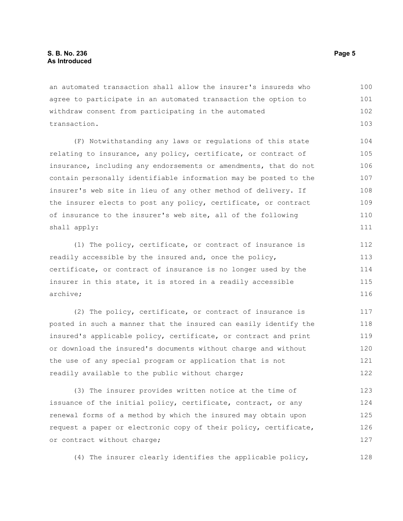an automated transaction shall allow the insurer's insureds who agree to participate in an automated transaction the option to withdraw consent from participating in the automated transaction. 100 101 102 103

(F) Notwithstanding any laws or regulations of this state relating to insurance, any policy, certificate, or contract of insurance, including any endorsements or amendments, that do not contain personally identifiable information may be posted to the insurer's web site in lieu of any other method of delivery. If the insurer elects to post any policy, certificate, or contract of insurance to the insurer's web site, all of the following shall apply:

(1) The policy, certificate, or contract of insurance is readily accessible by the insured and, once the policy, certificate, or contract of insurance is no longer used by the insurer in this state, it is stored in a readily accessible archive;

(2) The policy, certificate, or contract of insurance is posted in such a manner that the insured can easily identify the insured's applicable policy, certificate, or contract and print or download the insured's documents without charge and without the use of any special program or application that is not readily available to the public without charge; 117 118 119 120 121 122

(3) The insurer provides written notice at the time of issuance of the initial policy, certificate, contract, or any renewal forms of a method by which the insured may obtain upon request a paper or electronic copy of their policy, certificate, or contract without charge; 123 124 125 126 127

(4) The insurer clearly identifies the applicable policy,

128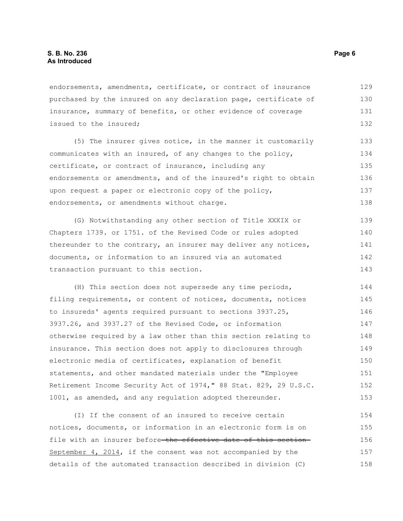endorsements, amendments, certificate, or contract of insurance purchased by the insured on any declaration page, certificate of insurance, summary of benefits, or other evidence of coverage issued to the insured; 129 130 131 132

(5) The insurer gives notice, in the manner it customarily communicates with an insured, of any changes to the policy, certificate, or contract of insurance, including any endorsements or amendments, and of the insured's right to obtain upon request a paper or electronic copy of the policy, endorsements, or amendments without charge. 133 134 135 136 137 138

(G) Notwithstanding any other section of Title XXXIX or Chapters 1739. or 1751. of the Revised Code or rules adopted thereunder to the contrary, an insurer may deliver any notices, documents, or information to an insured via an automated transaction pursuant to this section. 139 140 141 142 143

(H) This section does not supersede any time periods, filing requirements, or content of notices, documents, notices to insureds' agents required pursuant to sections 3937.25, 3937.26, and 3937.27 of the Revised Code, or information otherwise required by a law other than this section relating to insurance. This section does not apply to disclosures through electronic media of certificates, explanation of benefit statements, and other mandated materials under the "Employee Retirement Income Security Act of 1974," 88 Stat. 829, 29 U.S.C. 1001, as amended, and any regulation adopted thereunder. 144 145 146 147 148 149 150 151 152 153

(I) If the consent of an insured to receive certain notices, documents, or information in an electronic form is on file with an insurer before-the effective date of this section-September 4, 2014, if the consent was not accompanied by the details of the automated transaction described in division (C) 154 155 156 157 158